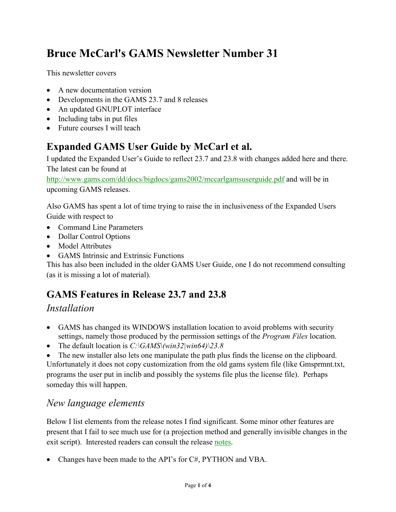# **Bruce McCarl's GAMS Newsletter Number 31**

This newsletter covers

- A new documentation version
- Developments in the GAMS 23.7 and 8 releases
- An updated GNUPLOT interface
- Including tabs in put files
- Future courses I will teach

# **Expanded GAMS User Guide by McCarl et al.**

I updated the Expanded User's Guide to reflect 23.7 and 23.8 with changes added here and there. The latest can be found at

<http://www.gams.com/dd/docs/bigdocs/gams2002/mccarlgamsuserguide.pdf> and will be in upcoming GAMS releases.

Also GAMS has spent a lot of time trying to raise the in inclusiveness of the Expanded Users Guide with respect to

- Command Line Parameters
- Dollar Control Options
- Model Attributes
- GAMS Intrinsic and Extrinsic Functions

This has also been included in the older GAMS User Guide, one I do not recommend consulting (as it is missing a lot of material).

## **GAMS Features in Release 23.7 and 23.8**

#### *Installation*

- GAMS has changed its WINDOWS installation location to avoid problems with security settings, namely those produced by the permission settings of the *Program Files* location.
- The default location is *C:\GAMS\(win32|win64)\23.8*

 The new installer also lets one manipulate the path plus finds the license on the clipboard. Unfortunately it does not copy customization from the old gams system file (like Gmsprmnt.txt, programs the user put in inclib and possibly the systems file plus the license file). Perhaps someday this will happen.

#### *New language elements*

Below I list elements from the release notes I find significant. Some minor other features are present that I fail to see much use for (a projection method and generally invisible changes in the exit script). Interested readers can consult the release [notes.](http://www.gams.com/docs/release/release.htm)

• Changes have been made to the API's for C#, PYTHON and VBA.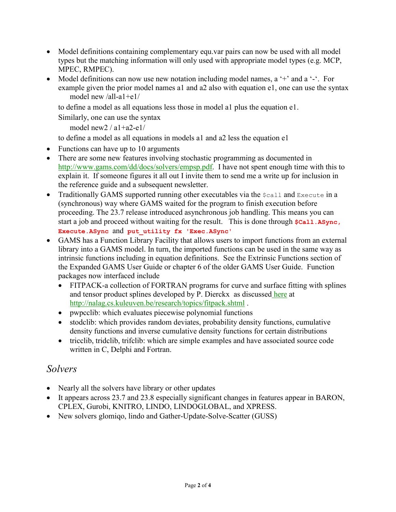- Model definitions containing complementary equ.var pairs can now be used with all model types but the matching information will only used with appropriate model types (e.g. MCP, MPEC, RMPEC).
- Model definitions can now use new notation including model names, a '+' and a '-'. For example given the prior model names a1 and a2 also with equation e1, one can use the syntax model new /all-a1+e1/

to define a model as all equations less those in model a1 plus the equation e1.

Similarly, one can use the syntax

model new  $2 / a1 + a2 - e1/$ 

to define a model as all equations in models a1 and a2 less the equation e1

- Functions can have up to 10 arguments
- There are some new features involving stochastic programming as documented in [http://www.gams.com/dd/docs/solvers/empsp.pdf.](http://www.gams.com/dd/docs/solvers/empsp.pdf) I have not spent enough time with this to explain it. If someone figures it all out I invite them to send me a write up for inclusion in the reference guide and a subsequent newsletter.
- Traditionally GAMS supported running other executables via the  $\epsilon$  call and Execute in a (synchronous) way where GAMS waited for the program to finish execution before proceeding. The 23.7 release introduced asynchronous job handling. This means you can start a job and proceed without waiting for the result. This is done through **\$Call.Async, Execute.ASync** and **put\_utility fx 'Exec.ASync'**
- GAMS has a Function Library Facility that allows users to import functions from an external library into a GAMS model. In turn, the imported functions can be used in the same way as intrinsic functions including in equation definitions. See the Extrinsic Functions section of the Expanded GAMS User Guide or chapter 6 of the older GAMS User Guide. Function packages now interfaced include
	- FITPACK-a collection of FORTRAN programs for curve and surface fitting with splines and tensor product splines developed by [P. Dierckx](javascript:PopMember() as discussed [here](http://nalag.cs.kuleuven.be/research/topics/fitpack.shtml) at <http://nalag.cs.kuleuven.be/research/topics/fitpack.shtml> .
	- pwpcclib: which evaluates piecewise polynomial functions
	- stodclib: which provides random deviates, probability density functions, cumulative density functions and inverse cumulative density functions for certain distributions
	- tricclib, tridclib, trifclib: which are simple examples and have associated source code written in C, Delphi and Fortran.

#### *Solvers*

- Nearly all the solvers have library or other updates
- It appears across 23.7 and 23.8 especially significant changes in features appear in BARON, CPLEX, Gurobi, KNITRO, LINDO, LINDOGLOBAL, and XPRESS.
- New solvers glomigo, lindo and Gather-Update-Solve-Scatter (GUSS)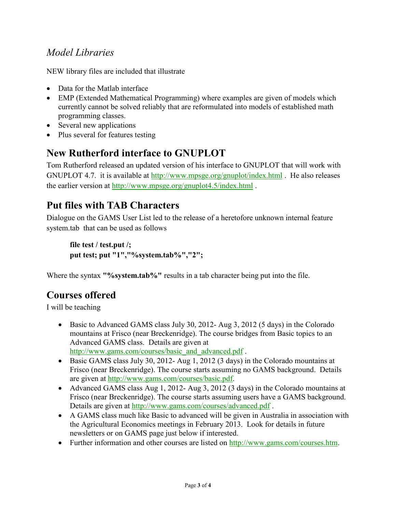#### *Model Libraries*

NEW library files are included that illustrate

- Data for the Matlab interface
- EMP (Extended Mathematical Programming) where examples are given of models which currently cannot be solved reliably that are reformulated into models of established math programming classes.
- Several new applications
- Plus several for features testing

#### **New Rutherford interface to GNUPLOT**

Tom Rutherford released an updated version of his interface to GNUPLOT that will work with GNUPLOT 4.7. it is available at<http://www.mpsge.org/gnuplot/index.html> . He also releases the earlier version at<http://www.mpsge.org/gnuplot4.5/index.html>.

#### **Put files with TAB Characters**

Dialogue on the GAMS User List led to the release of a heretofore unknown internal feature system.tab that can be used as follows

```
file test / test.put /;
put test; put "1","%system.tab%","2";
```
Where the syntax **"%system.tab%"** results in a tab character being put into the file.

## **Courses offered**

I will be teaching

- Basic to Advanced GAMS class July 30, 2012- Aug 3, 2012 (5 days) in the Colorado mountains at Frisco (near Breckenridge). The course bridges from Basic topics to an Advanced GAMS class. Details are given at [http://www.gams.com/courses/basic\\_and\\_advanced.pdf](http://www.gams.com/courses/basic_and_advanced.pdf).
- Basic GAMS class July 30, 2012- Aug 1, 2012 (3 days) in the Colorado mountains at Frisco (near Breckenridge). The course starts assuming no GAMS background. Details are given at [http://www.gams.com/courses/basic.pdf.](http://www.gams.com/courses/basic.pdf)
- Advanced GAMS class Aug 1, 2012- Aug 3, 2012 (3 days) in the Colorado mountains at Frisco (near Breckenridge). The course starts assuming users have a GAMS background. Details are given at<http://www.gams.com/courses/advanced.pdf> .
- A GAMS class much like Basic to advanced will be given in Australia in association with the Agricultural Economics meetings in February 2013. Look for details in future newsletters or on GAMS page just below if interested.
- Further information and other courses are listed on [http://www.gams.com/courses.htm.](http://www.gams.com/courses.htm)